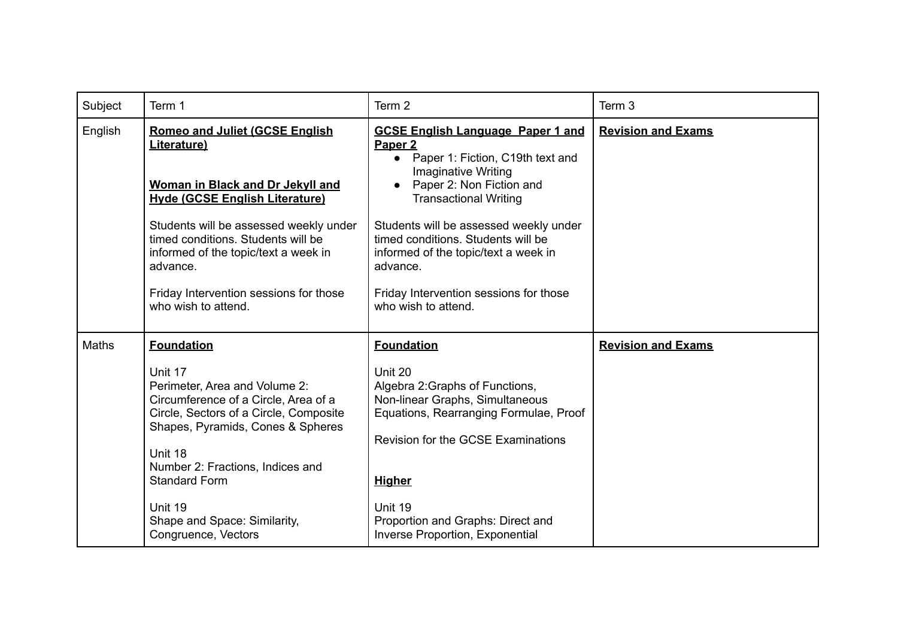| Subject | Term 1                                                                                                                                                                                                                                                                                                                                 | Term 2                                                                                                                                                                                                                                                                                                                                                                                              | Term 3                    |
|---------|----------------------------------------------------------------------------------------------------------------------------------------------------------------------------------------------------------------------------------------------------------------------------------------------------------------------------------------|-----------------------------------------------------------------------------------------------------------------------------------------------------------------------------------------------------------------------------------------------------------------------------------------------------------------------------------------------------------------------------------------------------|---------------------------|
| English | <b>Romeo and Juliet (GCSE English</b><br>Literature)<br>Woman in Black and Dr Jekyll and<br><b>Hyde (GCSE English Literature)</b><br>Students will be assessed weekly under<br>timed conditions. Students will be<br>informed of the topic/text a week in<br>advance.<br>Friday Intervention sessions for those<br>who wish to attend. | <b>GCSE English Language Paper 1 and</b><br>Paper <sub>2</sub><br>• Paper 1: Fiction, C19th text and<br><b>Imaginative Writing</b><br>Paper 2: Non Fiction and<br><b>Transactional Writing</b><br>Students will be assessed weekly under<br>timed conditions. Students will be<br>informed of the topic/text a week in<br>advance.<br>Friday Intervention sessions for those<br>who wish to attend. | <b>Revision and Exams</b> |
| Maths   | <b>Foundation</b><br>Unit 17<br>Perimeter, Area and Volume 2:<br>Circumference of a Circle, Area of a<br>Circle, Sectors of a Circle, Composite<br>Shapes, Pyramids, Cones & Spheres<br>Unit 18<br>Number 2: Fractions, Indices and<br><b>Standard Form</b><br>Unit 19<br>Shape and Space: Similarity,<br>Congruence, Vectors          | <b>Foundation</b><br>Unit 20<br>Algebra 2: Graphs of Functions,<br>Non-linear Graphs, Simultaneous<br>Equations, Rearranging Formulae, Proof<br><b>Revision for the GCSE Examinations</b><br><b>Higher</b><br>Unit 19<br>Proportion and Graphs: Direct and<br>Inverse Proportion, Exponential                                                                                                       | <b>Revision and Exams</b> |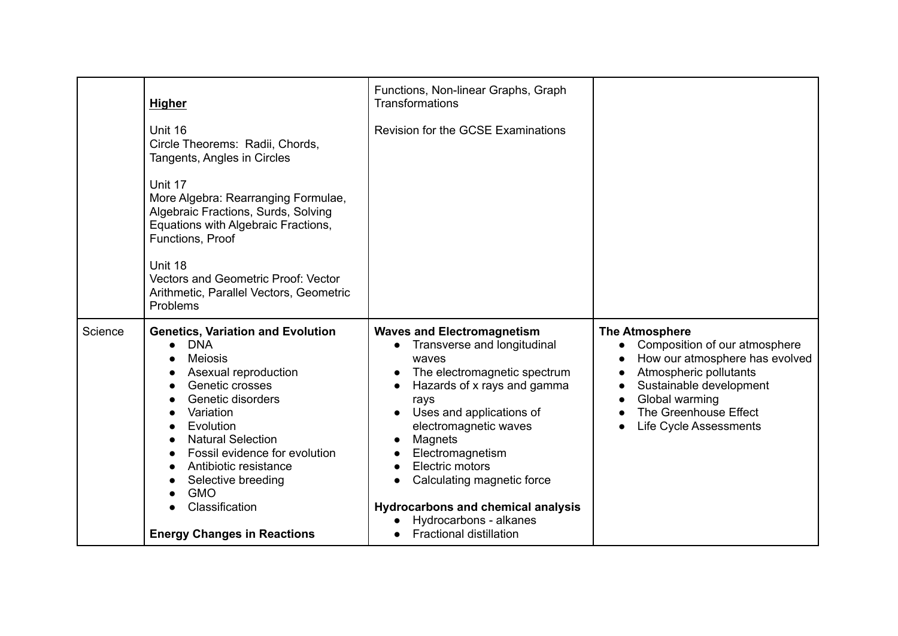|         | Higher                                                                                                                                                                                                                                                                                                                                                                                                                                      | Functions, Non-linear Graphs, Graph<br>Transformations                                                                                                                                                                                                                                |                                                                                                                                                                                                                                 |
|---------|---------------------------------------------------------------------------------------------------------------------------------------------------------------------------------------------------------------------------------------------------------------------------------------------------------------------------------------------------------------------------------------------------------------------------------------------|---------------------------------------------------------------------------------------------------------------------------------------------------------------------------------------------------------------------------------------------------------------------------------------|---------------------------------------------------------------------------------------------------------------------------------------------------------------------------------------------------------------------------------|
|         | Unit 16<br>Circle Theorems: Radii, Chords,<br>Tangents, Angles in Circles                                                                                                                                                                                                                                                                                                                                                                   | Revision for the GCSE Examinations                                                                                                                                                                                                                                                    |                                                                                                                                                                                                                                 |
|         | Unit 17<br>More Algebra: Rearranging Formulae,<br>Algebraic Fractions, Surds, Solving<br>Equations with Algebraic Fractions,<br>Functions, Proof<br>Unit 18<br><b>Vectors and Geometric Proof: Vector</b><br>Arithmetic, Parallel Vectors, Geometric<br>Problems                                                                                                                                                                            |                                                                                                                                                                                                                                                                                       |                                                                                                                                                                                                                                 |
| Science | <b>Genetics, Variation and Evolution</b><br><b>DNA</b><br>$\bullet$<br><b>Meiosis</b><br>$\bullet$<br>Asexual reproduction<br>$\bullet$<br>Genetic crosses<br>$\bullet$<br>Genetic disorders<br>$\bullet$<br>Variation<br>$\bullet$<br>Evolution<br>$\bullet$<br><b>Natural Selection</b><br>$\bullet$<br>Fossil evidence for evolution<br>$\bullet$<br>Antibiotic resistance<br>$\bullet$<br>Selective breeding<br>$\bullet$<br><b>GMO</b> | <b>Waves and Electromagnetism</b><br>Transverse and longitudinal<br>waves<br>The electromagnetic spectrum<br>Hazards of x rays and gamma<br>rays<br>Uses and applications of<br>electromagnetic waves<br>Magnets<br>Electromagnetism<br>Electric motors<br>Calculating magnetic force | <b>The Atmosphere</b><br>Composition of our atmosphere<br>How our atmosphere has evolved<br>$\bullet$<br>Atmospheric pollutants<br>Sustainable development<br>Global warming<br>The Greenhouse Effect<br>Life Cycle Assessments |
|         | Classification<br><b>Energy Changes in Reactions</b>                                                                                                                                                                                                                                                                                                                                                                                        | <b>Hydrocarbons and chemical analysis</b><br>Hydrocarbons - alkanes<br><b>Fractional distillation</b>                                                                                                                                                                                 |                                                                                                                                                                                                                                 |